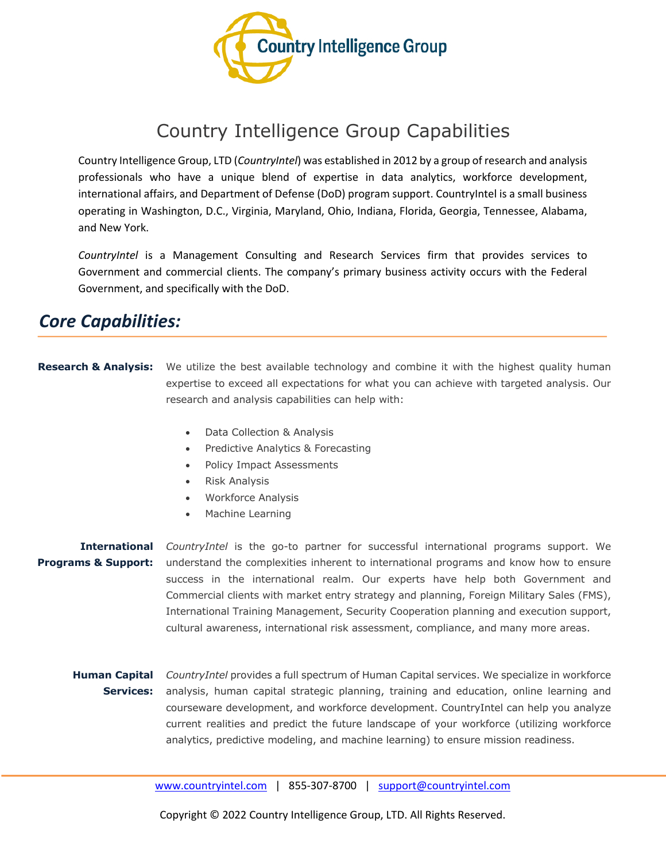

## Country Intelligence Group Capabilities

Country Intelligence Group, LTD (*CountryIntel*) was established in 2012 by a group of research and analysis professionals who have a unique blend of expertise in data analytics, workforce development, international affairs, and Department of Defense (DoD) program support. CountryIntel is a small business operating in Washington, D.C., Virginia, Maryland, Ohio, Indiana, Florida, Georgia, Tennessee, Alabama, and New York.

*CountryIntel* is a Management Consulting and Research Services firm that provides services to Government and commercial clients. The company's primary business activity occurs with the Federal Government, and specifically with the DoD.

## *Core Capabilities:*

- **Research & Analysis:** We utilize the best available technology and combine it with the highest quality human expertise to exceed all expectations for what you can achieve with targeted analysis. Our research and analysis capabilities can help with:
	- Data Collection & Analysis
	- Predictive Analytics & Forecasting
	- Policy Impact Assessments
	- Risk Analysis
	- Workforce Analysis
	- Machine Learning

**International**  *CountryIntel* is the go-to partner for successful international programs support. We **Programs & Support:** understand the complexities inherent to international programs and know how to ensure success in the international realm. Our experts have help both Government and Commercial clients with market entry strategy and planning, Foreign Military Sales (FMS), International Training Management, Security Cooperation planning and execution support, cultural awareness, international risk assessment, compliance, and many more areas.

**Human Capital**  *CountryIntel* provides a full spectrum of Human Capital services. We specialize in workforce **Services:** analysis, human capital strategic planning, training and education, online learning and courseware development, and workforce development. CountryIntel can help you analyze current realities and predict the future landscape of your workforce (utilizing workforce analytics, predictive modeling, and machine learning) to ensure mission readiness.

www.countryintel.com | 855-307-8700 | support@countryintel.com

Copyright © 2022 Country Intelligence Group, LTD. All Rights Reserved.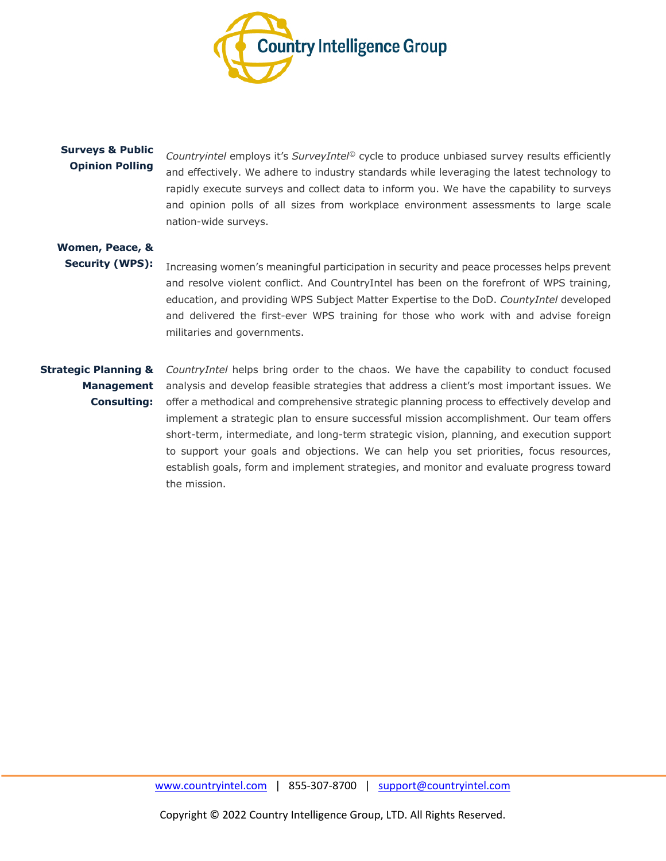

#### **Surveys & Public Opinion Polling**

*Countryintel* employs it's *SurveyIntel©* cycle to produce unbiased survey results efficiently and effectively. We adhere to industry standards while leveraging the latest technology to rapidly execute surveys and collect data to inform you. We have the capability to surveys and opinion polls of all sizes from workplace environment assessments to large scale nation-wide surveys.

#### **Women, Peace, & Security (WPS):**

Increasing women's meaningful participation in security and peace processes helps prevent and resolve violent conflict. And CountryIntel has been on the forefront of WPS training, education, and providing WPS Subject Matter Expertise to the DoD. *CountyIntel* developed and delivered the first-ever WPS training for those who work with and advise foreign militaries and governments.

# **Consulting:**

**Strategic Planning &**  *CountryIntel* helps bring order to the chaos. We have the capability to conduct focused **Management**  analysis and develop feasible strategies that address a client's most important issues. We offer a methodical and comprehensive strategic planning process to effectively develop and implement a strategic plan to ensure successful mission accomplishment. Our team offers short-term, intermediate, and long-term strategic vision, planning, and execution support to support your goals and objections. We can help you set priorities, focus resources, establish goals, form and implement strategies, and monitor and evaluate progress toward the mission.